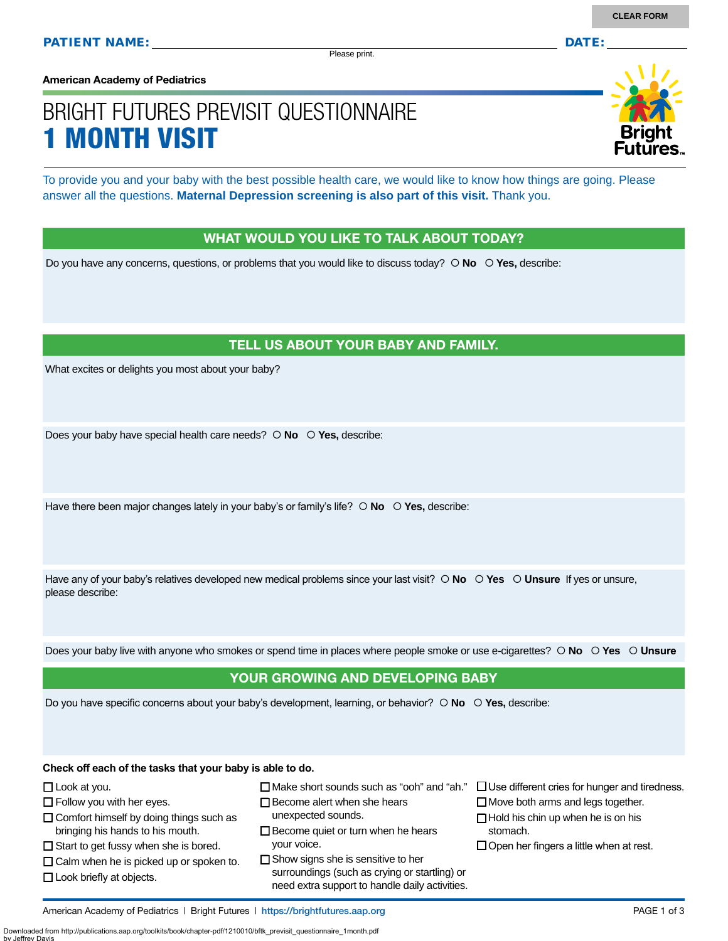Please print.

**American Academy of Pediatrics**

# BRIGHT FUTURES PREVISIT QUESTIONNAIRE 1 MONTH VISIT

To provide you and your baby with the best possible health care, we would like to know how things are going. Please answer all the questions. **Maternal Depression screening is also part of this visit.** Thank you.

#### WHAT WOULD YOU LIKE TO TALK ABOUT TODAY?

Do you have any concerns, questions, or problems that you would like to discuss today?  $\circ$  **No**  $\circ$  **Yes**, describe:

#### TELL US ABOUT YOUR BABY AND FAMILY.

What excites or delights you most about your baby?

Does your baby have special health care needs?  **No Yes,** describe:

Have there been major changes lately in your baby's or family's life?  $\circ$  **No**  $\circ$  **Yes**, describe:

Have any of your baby's relatives developed new medical problems since your last visit?  $\circ$  **No**  $\circ$  **Yes**  $\circ$  **Unsure** If yes or unsure, please describe:

Does your baby live with anyone who smokes or spend time in places where people smoke or use e-cigarettes?  **No Yes Unsure**

#### YOUR GROWING AND DEVELOPING BABY

Do you have specific concerns about your baby's development, learning, or behavior?  $\circ$  **No**  $\circ$  **Yes**, describe:

**Check off each of the tasks that your baby is able to do.**

- □ Look at you.
- $\Box$  Follow you with her eyes.
- $\Box$  Comfort himself by doing things such as bringing his hands to his mouth.
- $\square$  Start to get fussy when she is bored.
- $\Box$  Calm when he is picked up or spoken to.
- □ Look briefly at objects.

by Jeffrey Davis

- Make short sounds such as "ooh" and "ah."
- $\Box$  Become alert when she hears unexpected sounds.
- $\square$  Become quiet or turn when he hears your voice.
- $\Box$  Show signs she is sensitive to her surroundings (such as crying or startling) or need extra support to handle daily activities.
- $\Box$  Use different cries for hunger and tiredness.
- $\Box$  Move both arms and legs together.  $\Box$  Hold his chin up when he is on his stomach.
- $\Box$  Open her fingers a little when at rest.

American Academy of Pediatrics | Bright Futures | https:/[/brightfutures.aap.org](https://brightfutures.aap.org/Pages/default.aspx) PAGE 1 of 3

Downloaded from http://publications.aap.org/toolkits/book/chapter-pdf/1210010/bftk\_previsit\_questionnaire\_1month.pdf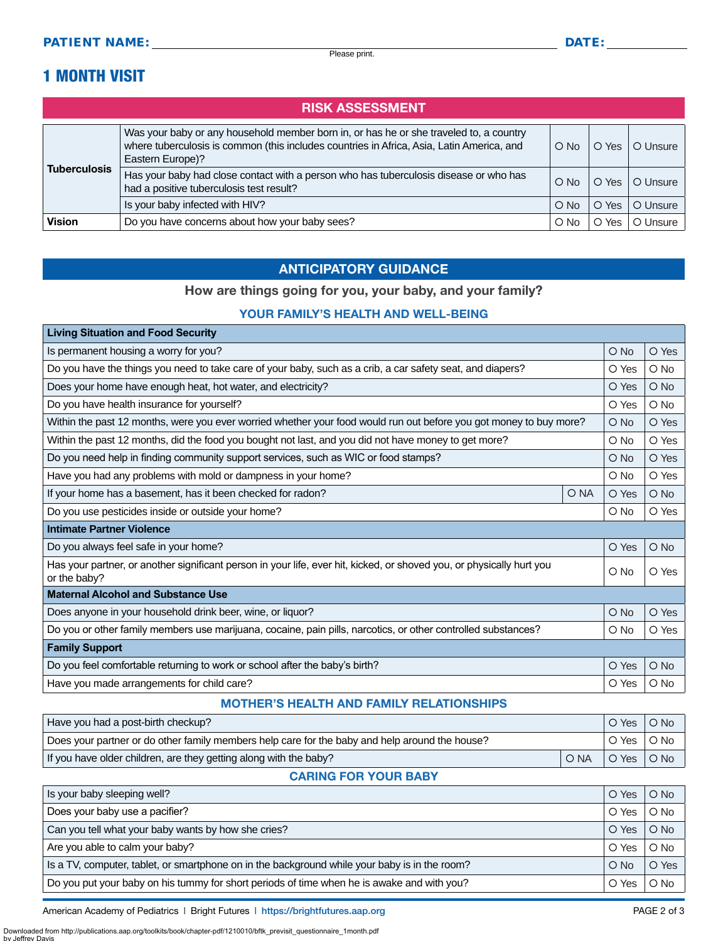## 1 MONTH VISIT

| <b>RISK ASSESSMENT</b> |                                                                                                                                                                                                         |               |                        |          |  |
|------------------------|---------------------------------------------------------------------------------------------------------------------------------------------------------------------------------------------------------|---------------|------------------------|----------|--|
| <b>Tuberculosis</b>    | Was your baby or any household member born in, or has he or she traveled to, a country<br>where tuberculosis is common (this includes countries in Africa, Asia, Latin America, and<br>Eastern Europe)? | $\bigcirc$ No | O Yes I                | O Unsure |  |
|                        | Has your baby had close contact with a person who has tuberculosis disease or who has<br>had a positive tuberculosis test result?                                                                       | $\bigcirc$ No | $\bigcirc$ Yes $\big $ | O Unsure |  |
|                        | Is your baby infected with HIV?                                                                                                                                                                         | $\circ$ No    | O Yes                  | O Unsure |  |
| <b>Vision</b>          | Do you have concerns about how your baby sees?                                                                                                                                                          | $\circ$ No    | Yes<br>O               | O Unsure |  |

#### ANTICIPATORY GUIDANCE

### How are things going for you, your baby, and your family?

#### YOUR FAMILY'S HEALTH AND WELL-BEING

| <b>Living Situation and Food Security</b>                                                                                             |      |            |        |
|---------------------------------------------------------------------------------------------------------------------------------------|------|------------|--------|
| Is permanent housing a worry for you?                                                                                                 |      |            | O Yes  |
| Do you have the things you need to take care of your baby, such as a crib, a car safety seat, and diapers?                            |      |            | $O$ No |
| Does your home have enough heat, hot water, and electricity?                                                                          |      | O Yes      | $O$ No |
| Do you have health insurance for yourself?                                                                                            |      | O Yes      | $O$ No |
| Within the past 12 months, were you ever worried whether your food would run out before you got money to buy more?                    |      | $O$ No     | O Yes  |
| Within the past 12 months, did the food you bought not last, and you did not have money to get more?                                  |      | O No       | O Yes  |
| Do you need help in finding community support services, such as WIC or food stamps?                                                   |      | $O$ No     | O Yes  |
| Have you had any problems with mold or dampness in your home?                                                                         |      | O No       | O Yes  |
| If your home has a basement, has it been checked for radon?                                                                           | O NA | O Yes      | $O$ No |
| Do you use pesticides inside or outside your home?                                                                                    |      | O No       | O Yes  |
| <b>Intimate Partner Violence</b>                                                                                                      |      |            |        |
| Do you always feel safe in your home?                                                                                                 |      | O Yes      | $O$ No |
| Has your partner, or another significant person in your life, ever hit, kicked, or shoved you, or physically hurt you<br>or the baby? |      | $\circ$ No | O Yes  |
| <b>Maternal Alcohol and Substance Use</b>                                                                                             |      |            |        |
| Does anyone in your household drink beer, wine, or liquor?                                                                            |      | $O$ No     | O Yes  |
| Do you or other family members use marijuana, cocaine, pain pills, narcotics, or other controlled substances?                         |      | $\circ$ No | O Yes  |
| <b>Family Support</b>                                                                                                                 |      |            |        |
| Do you feel comfortable returning to work or school after the baby's birth?                                                           |      | O Yes      | $O$ No |
| Have you made arrangements for child care?                                                                                            |      | O Yes      | O No   |

#### MOTHER'S HEALTH AND FAMILY RELATIONSHIPS

| Have you had a post-birth checkup?                                                             |      | O Yes | $\bigcirc$ No |
|------------------------------------------------------------------------------------------------|------|-------|---------------|
| Does your partner or do other family members help care for the baby and help around the house? |      | O Yes | $\circ$ No    |
| If you have older children, are they getting along with the baby?                              | O NA | O Yes | $O$ No        |

#### CARING FOR YOUR BABY

| Is your baby sleeping well?                                                                   | O Yes  | $O$ No |
|-----------------------------------------------------------------------------------------------|--------|--------|
| Does your baby use a pacifier?                                                                | O Yes  | $O$ No |
| Can you tell what your baby wants by how she cries?                                           | O Yes  | $O$ No |
| Are you able to calm your baby?                                                               | O Yes  | $O$ No |
| Is a TV, computer, tablet, or smartphone on in the background while your baby is in the room? | $O$ No | O Yes  |
| Do you put your baby on his tummy for short periods of time when he is awake and with you?    | O Yes  | O No   |

American Academy of Pediatrics | Bright Futures | https:/[/brightfutures.aap.org](https://brightfutures.aap.org/Pages/default.aspx) | Namerican Academy of Pediatrics | Bright Futures | https://brightfutures.aap.org Downloaded from http://publications.aap.org/toolkits/book/chapter-pdf/1210010/bftk\_previsit\_questionnaire\_1month.pdf

by Jeffrey D